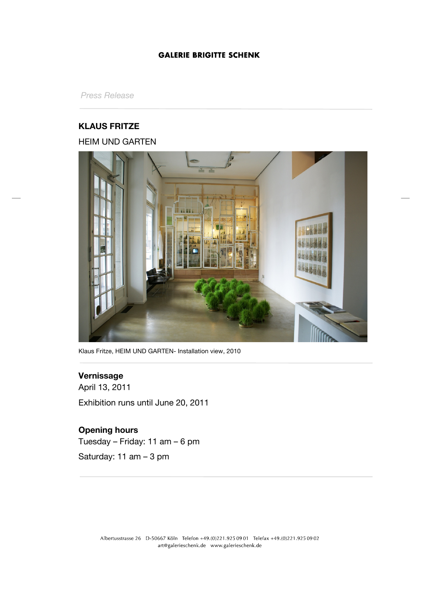## **GALERIE BRIGITTE SCHENK**

*Press Release*

# **KLAUS FRITZE** HEIM UND GARTEN



Klaus Fritze, HEIM UND GARTEN- Installation view, 2010

## **Vernissage**

April 13, 2011 Exhibition runs until June 20, 2011

## **Opening hours**

Tuesday – Friday: 11 am – 6 pm

Saturday: 11 am – 3 pm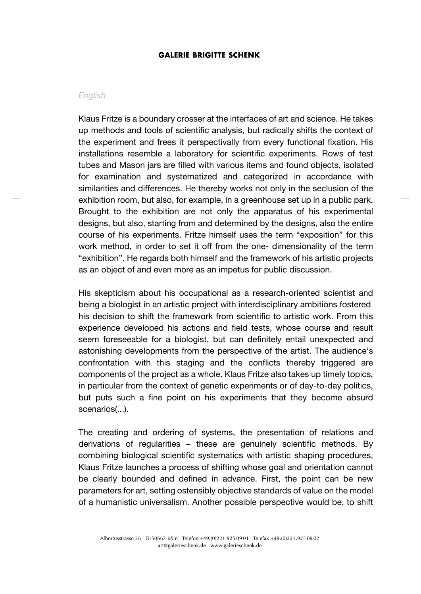### **GALERIE BRIGITTE SCHENK**

#### *English*

Klaus Fritze is a boundary crosser at the interfaces of art and science. He takes up methods and tools of scientific analysis, but radically shifts the context of the experiment and frees it perspectivally from every functional fixation. His installations resemble a laboratory for scientific experiments. Rows of test tubes and Mason jars are filled with various items and found objects, isolated for examination and systematized and categorized in accordance with similarities and differences. He thereby works not only in the seclusion of the exhibition room, but also, for example, in a greenhouse set up in a public park. Brought to the exhibition are not only the apparatus of his experimental designs, but also, starting from and determined by the designs, also the entire course of his experiments. Fritze himself uses the term "exposition" for this work method, in order to set it off from the one- dimensionality of the term "exhibition". He regards both himself and the framework of his artistic projects as an object of and even more as an impetus for public discussion.

His skepticism about his occupational as a research-oriented scientist and being a biologist in an artistic project with interdisciplinary ambitions fostered his decision to shift the framework from scientific to artistic work. From this experience developed his actions and field tests, whose course and result seem foreseeable for a biologist, but can definitely entail unexpected and astonishing developments from the perspective of the artist. The audience's confrontation with this staging and the conflicts thereby triggered are components of the project as a whole. Klaus Fritze also takes up timely topics, in particular from the context of genetic experiments or of day-to-day politics, but puts such a fine point on his experiments that they become absurd scenarios(...).

The creating and ordering of systems, the presentation of relations and derivations of regularities – these are genuinely scientific methods. By combining biological scientific systematics with artistic shaping procedures, Klaus Fritze launches a process of shifting whose goal and orientation cannot be clearly bounded and defined in advance. First, the point can be new parameters for art, setting ostensibly objective standards of value on the model of a humanistic universalism. Another possible perspective would be, to shift